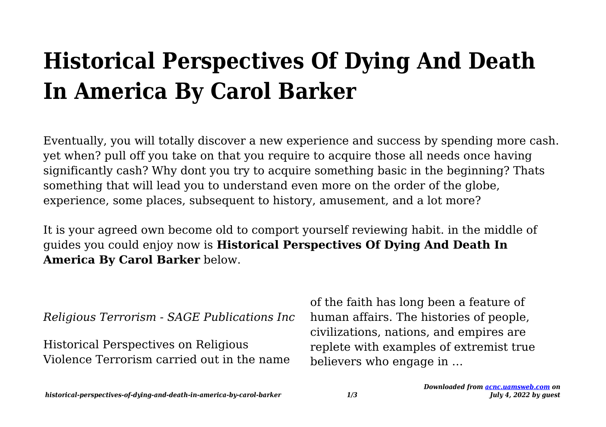# **Historical Perspectives Of Dying And Death In America By Carol Barker**

Eventually, you will totally discover a new experience and success by spending more cash. yet when? pull off you take on that you require to acquire those all needs once having significantly cash? Why dont you try to acquire something basic in the beginning? Thats something that will lead you to understand even more on the order of the globe, experience, some places, subsequent to history, amusement, and a lot more?

It is your agreed own become old to comport yourself reviewing habit. in the middle of guides you could enjoy now is **Historical Perspectives Of Dying And Death In America By Carol Barker** below.

*Religious Terrorism - SAGE Publications Inc*

Historical Perspectives on Religious Violence Terrorism carried out in the name of the faith has long been a feature of human affairs. The histories of people, civilizations, nations, and empires are replete with examples of extremist true believers who engage in …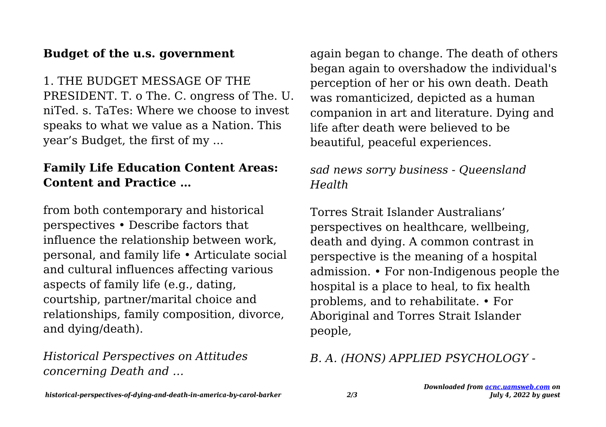#### **Budget of the u.s. government**

1. THE BUDGET MESSAGE OF THE PRESIDENT. T. o The. C. ongress of The. U. niTed. s. TaTes: Where we choose to invest speaks to what we value as a Nation. This year's Budget, the first of my ...

### **Family Life Education Content Areas: Content and Practice …**

from both contemporary and historical perspectives • Describe factors that influence the relationship between work, personal, and family life • Articulate social and cultural influences affecting various aspects of family life (e.g., dating, courtship, partner/marital choice and relationships, family composition, divorce, and dying/death).

*Historical Perspectives on Attitudes concerning Death and …*

again began to change. The death of others began again to overshadow the individual's perception of her or his own death. Death was romanticized, depicted as a human companion in art and literature. Dying and life after death were believed to be beautiful, peaceful experiences.

## *sad news sorry business - Queensland Health*

Torres Strait Islander Australians' perspectives on healthcare, wellbeing, death and dying. A common contrast in perspective is the meaning of a hospital admission. • For non-Indigenous people the hospital is a place to heal, to fix health problems, and to rehabilitate. • For Aboriginal and Torres Strait Islander people,

#### *B. A. (HONS) APPLIED PSYCHOLOGY -*